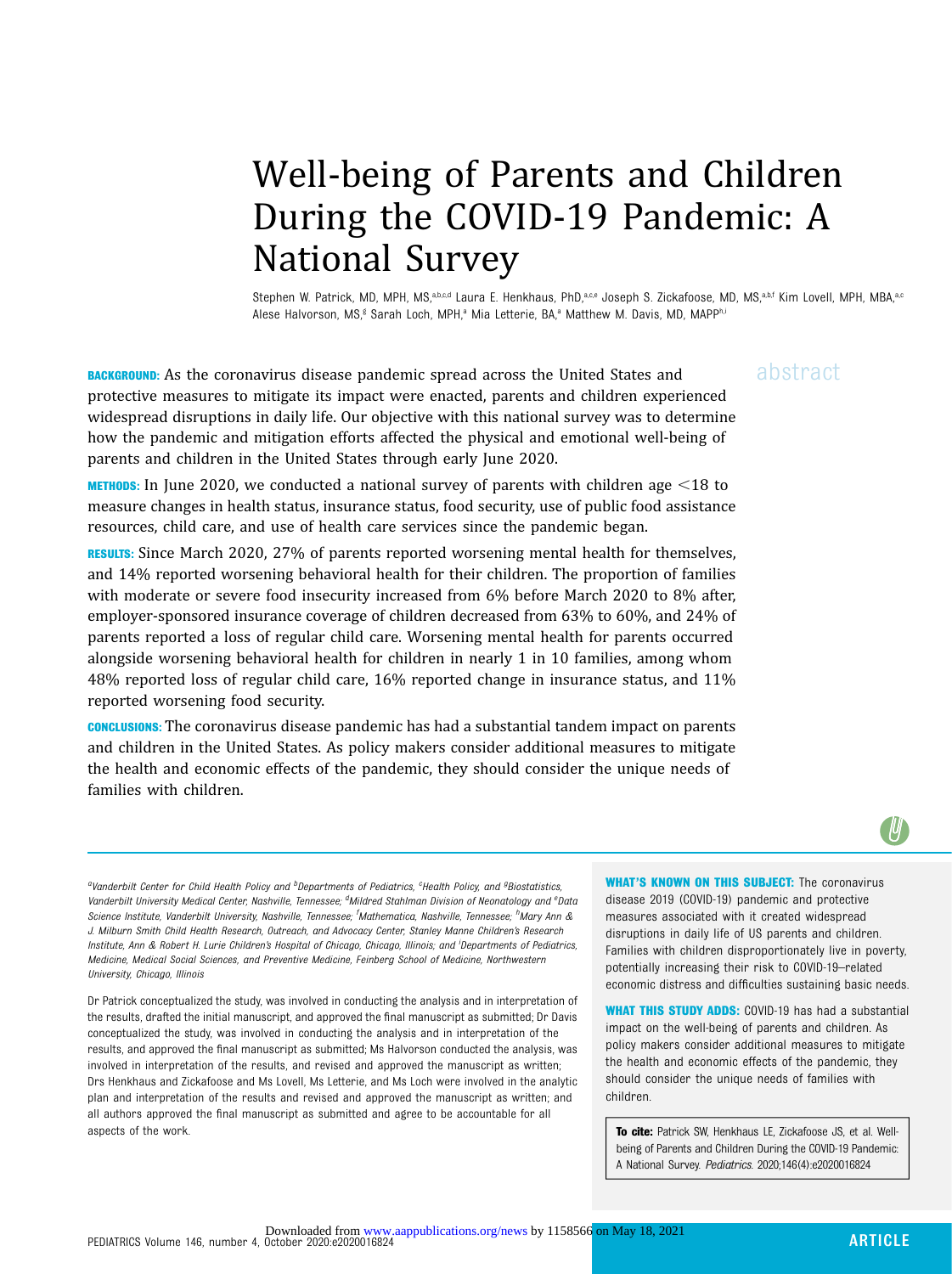# Well-being of Parents and Children During the COVID-19 Pandemic: A National Survey

Stephen W. Patrick, MD, MPH, MS,a,b,c,d Laura E. Henkhaus, PhD,a,c,e Joseph S. Zickafoose, MD, MS,a,b,f Kim Lovell, MPH, MBA,a,c Alese Halvorson, MS,<sup>g</sup> Sarah Loch, MPH,<sup>a</sup> Mia Letterie, BA,<sup>a</sup> Matthew M. Davis, MD, MAPPhi

**BACKGROUND:** As the coronavirus disease pandemic spread across the United States and  $a\bar{b}$ Stract protective measures to mitigate its impact were enacted, parents and children experienced widespread disruptions in daily life. Our objective with this national survey was to determine how the pandemic and mitigation efforts affected the physical and emotional well-being of parents and children in the United States through early June 2020.

**METHODS:** In June 2020, we conducted a national survey of parents with children age  $\leq$ 18 to measure changes in health status, insurance status, food security, use of public food assistance resources, child care, and use of health care services since the pandemic began.

RESULTS: Since March 2020, 27% of parents reported worsening mental health for themselves, and 14% reported worsening behavioral health for their children. The proportion of families with moderate or severe food insecurity increased from 6% before March 2020 to 8% after, employer-sponsored insurance coverage of children decreased from 63% to 60%, and 24% of parents reported a loss of regular child care. Worsening mental health for parents occurred alongside worsening behavioral health for children in nearly 1 in 10 families, among whom 48% reported loss of regular child care, 16% reported change in insurance status, and 11% reported worsening food security.

CONCLUSIONS: The coronavirus disease pandemic has had a substantial tandem impact on parents and children in the United States. As policy makers consider additional measures to mitigate the health and economic effects of the pandemic, they should consider the unique needs of families with children.

WHAT'S KNOWN ON THIS SUBJECT: The coronavirus disease 2019 (COVID-19) pandemic and protective measures associated with it created widespread disruptions in daily life of US parents and children. Families with children disproportionately live in poverty, potentially increasing their risk to COVID-19–related economic distress and difficulties sustaining basic needs.

WHAT THIS STUDY ADDS: COVID-19 has had a substantial impact on the well-being of parents and children. As policy makers consider additional measures to mitigate the health and economic effects of the pandemic, they should consider the unique needs of families with children.

To cite: Patrick SW, Henkhaus LE, Zickafoose JS, et al. Wellbeing of Parents and Children During the COVID-19 Pandemic: A National Survey. Pediatrics. 2020;146(4):e2020016824

<sup>a</sup>Vanderbilt Center for Child Health Policy and <sup>b</sup>Departments of Pediatrics, <sup>c</sup>Health Policy, and <sup>g</sup>Biostatistics, Vanderbilt University Medical Center, Nashville, Tennessee; <sup>d</sup>Mildred Stahlman Division of Neonatology and <sup>e</sup>Data Science Institute, Vanderbilt University, Nashville, Tennessee; <sup>f</sup>Mathematica, Nashville, Tennessee; <sup>h</sup>Mary Ann & J. Milburn Smith Child Health Research, Outreach, and Advocacy Center, Stanley Manne Children's Research Institute, Ann & Robert H. Lurie Children's Hospital of Chicago, Chicago, Illinois; and <sup>i</sup> Departments of Pediatrics, Medicine, Medical Social Sciences, and Preventive Medicine, Feinberg School of Medicine, Northwestern University, Chicago, Illinois

Dr Patrick conceptualized the study, was involved in conducting the analysis and in interpretation of the results, drafted the initial manuscript, and approved the final manuscript as submitted; Dr Davis conceptualized the study, was involved in conducting the analysis and in interpretation of the results, and approved the final manuscript as submitted; Ms Halvorson conducted the analysis, was involved in interpretation of the results, and revised and approved the manuscript as written; Drs Henkhaus and Zickafoose and Ms Lovell, Ms Letterie, and Ms Loch were involved in the analytic plan and interpretation of the results and revised and approved the manuscript as written; and all authors approved the final manuscript as submitted and agree to be accountable for all aspects of the work.

 $\psi$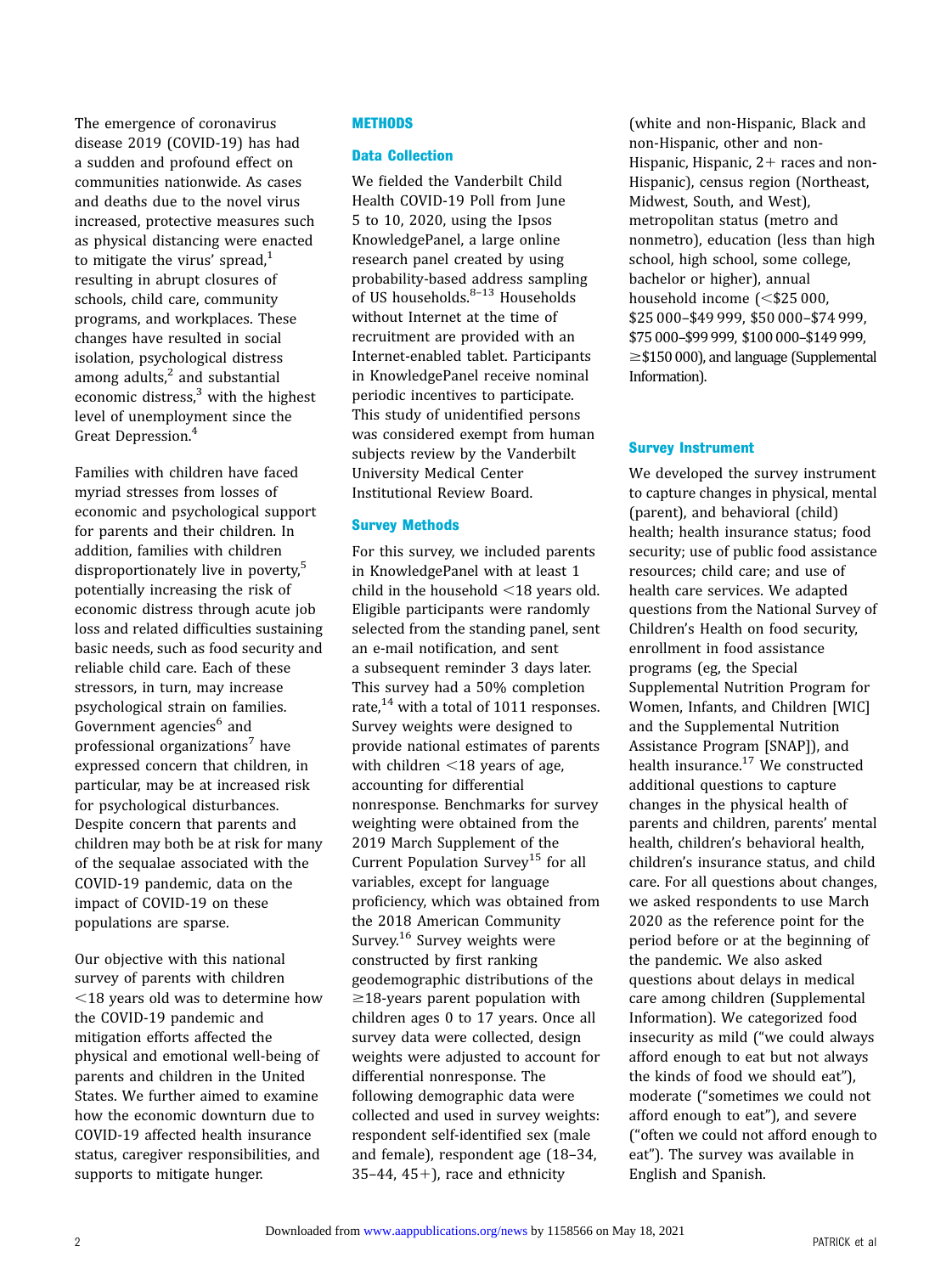The emergence of coronavirus disease 2019 (COVID-19) has had a sudden and profound effect on communities nationwide. As cases and deaths due to the novel virus increased, protective measures such as physical distancing were enacted to mitigate the virus' spread, $1$ resulting in abrupt closures of schools, child care, community programs, and workplaces. These changes have resulted in social isolation, psychological distress among adults, $^2$  $^2$  and substantial economic distress, $3$  with the highest level of unemployment since the Great Depression.<sup>[4](#page-6-0)</sup>

Families with children have faced myriad stresses from losses of economic and psychological support for parents and their children. In addition, families with children disproportionately live in poverty,<sup>[5](#page-6-0)</sup> potentially increasing the risk of economic distress through acute job loss and related difficulties sustaining basic needs, such as food security and reliable child care. Each of these stressors, in turn, may increase psychological strain on families. Government agencies<sup>[6](#page-6-0)</sup> and professional organizations<sup>[7](#page-6-0)</sup> have expressed concern that children, in particular, may be at increased risk for psychological disturbances. Despite concern that parents and children may both be at risk for many of the sequalae associated with the COVID-19 pandemic, data on the impact of COVID-19 on these populations are sparse.

Our objective with this national survey of parents with children  $<$ 18 years old was to determine how the COVID-19 pandemic and mitigation efforts affected the physical and emotional well-being of parents and children in the United States. We further aimed to examine how the economic downturn due to COVID-19 affected health insurance status, caregiver responsibilities, and supports to mitigate hunger.

# **METHODS**

# Data Collection

We fielded the Vanderbilt Child Health COVID-19 Poll from June 5 to 10, 2020, using the Ipsos KnowledgePanel, a large online research panel created by using probability-based address sampling of US households. $8-13$  $8-13$  $8-13$  Households without Internet at the time of recruitment are provided with an Internet-enabled tablet. Participants in KnowledgePanel receive nominal periodic incentives to participate. This study of unidentified persons was considered exempt from human subjects review by the Vanderbilt University Medical Center Institutional Review Board.

# Survey Methods

For this survey, we included parents in KnowledgePanel with at least 1 child in the household  $\leq$ 18 years old. Eligible participants were randomly selected from the standing panel, sent an e-mail notification, and sent a subsequent reminder 3 days later. This survey had a 50% completion rate,<sup>[14](#page-6-0)</sup> with a total of 1011 responses. Survey weights were designed to provide national estimates of parents with children  $\leq$ 18 years of age, accounting for differential nonresponse. Benchmarks for survey weighting were obtained from the 2019 March Supplement of the Current Population Survey<sup>[15](#page-6-0)</sup> for all variables, except for language proficiency, which was obtained from the 2018 American Community Survey.[16](#page-7-0) Survey weights were constructed by first ranking geodemographic distributions of the  $\geq$ 18-years parent population with children ages 0 to 17 years. Once all survey data were collected, design weights were adjusted to account for differential nonresponse. The following demographic data were collected and used in survey weights: respondent self-identified sex (male and female), respondent age (18–34, 35-44, 45+), race and ethnicity

(white and non-Hispanic, Black and non-Hispanic, other and non-Hispanic, Hispanic,  $2+$  races and non-Hispanic), census region (Northeast, Midwest, South, and West), metropolitan status (metro and nonmetro), education (less than high school, high school, some college, bachelor or higher), annual household income  $\approx$  \$25 000, \$25 000–\$49 999, \$50 000–\$74 999, \$75 000–\$99 999, \$100 000–\$149 999,  $\geq$ \$150 000), and language [\(Supplemental](https://pediatrics.aappublications.org/lookup/suppl/doi:10.1542/peds.2020-016824/-/DCSupplemental/) [Information\)](https://pediatrics.aappublications.org/lookup/suppl/doi:10.1542/peds.2020-016824/-/DCSupplemental/).

# Survey Instrument

We developed the survey instrument to capture changes in physical, mental (parent), and behavioral (child) health; health insurance status; food security; use of public food assistance resources; child care; and use of health care services. We adapted questions from the National Survey of Children's Health on food security, enrollment in food assistance programs (eg, the Special Supplemental Nutrition Program for Women, Infants, and Children [WIC] and the Supplemental Nutrition Assistance Program [SNAP]), and health insurance.<sup>17</sup> We constructed additional questions to capture changes in the physical health of parents and children, parents' mental health, children's behavioral health, children's insurance status, and child care. For all questions about changes, we asked respondents to use March 2020 as the reference point for the period before or at the beginning of the pandemic. We also asked questions about delays in medical care among children ([Supplemental](https://pediatrics.aappublications.org/lookup/suppl/doi:10.1542/peds.2020-016824/-/DCSupplemental/) [Information\)](https://pediatrics.aappublications.org/lookup/suppl/doi:10.1542/peds.2020-016824/-/DCSupplemental/). We categorized food insecurity as mild ("we could always afford enough to eat but not always the kinds of food we should eat"), moderate ("sometimes we could not afford enough to eat"), and severe ("often we could not afford enough to eat"). The survey was available in English and Spanish.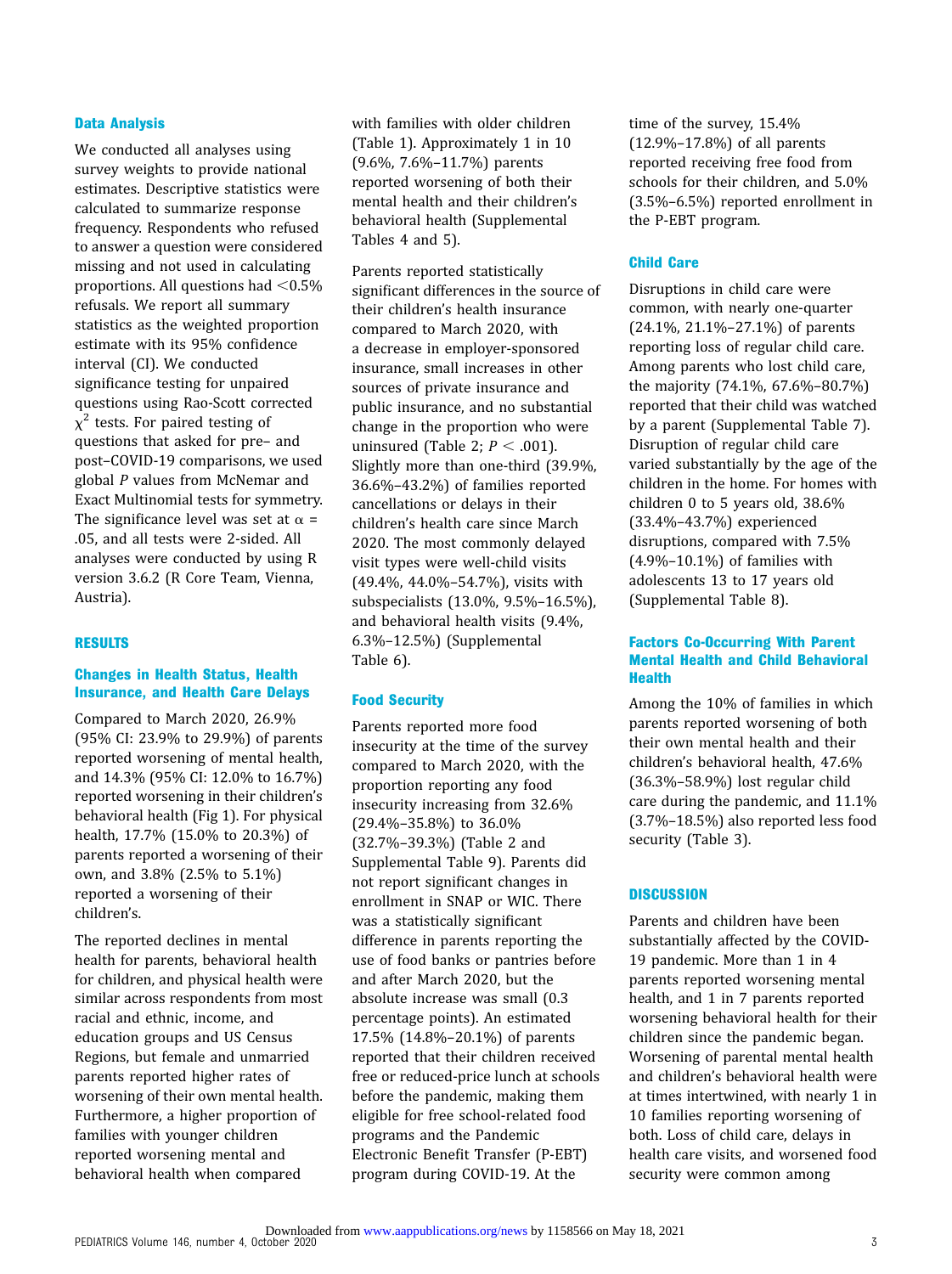## Data Analysis

We conducted all analyses using survey weights to provide national estimates. Descriptive statistics were calculated to summarize response frequency. Respondents who refused to answer a question were considered missing and not used in calculating proportions. All questions had  $<$  0.5% refusals. We report all summary statistics as the weighted proportion estimate with its 95% confidence interval (CI). We conducted significance testing for unpaired questions using Rao-Scott corrected  $\chi^2$  tests. For paired testing of questions that asked for pre– and post–COVID-19 comparisons, we used global P values from McNemar and Exact Multinomial tests for symmetry. The significance level was set at  $\alpha$  = .05, and all tests were 2-sided. All analyses were conducted by using R version 3.6.2 (R Core Team, Vienna, Austria).

#### RESULTS

# Changes in Health Status, Health Insurance, and Health Care Delays

Compared to March 2020, 26.9% (95% CI: 23.9% to 29.9%) of parents reported worsening of mental health, and 14.3% (95% CI: 12.0% to 16.7%) reported worsening in their children's behavioral health ([Fig 1\)](#page-3-0). For physical health, 17.7% (15.0% to 20.3%) of parents reported a worsening of their own, and 3.8% (2.5% to 5.1%) reported a worsening of their children's.

The reported declines in mental health for parents, behavioral health for children, and physical health were similar across respondents from most racial and ethnic, income, and education groups and US Census Regions, but female and unmarried parents reported higher rates of worsening of their own mental health. Furthermore, a higher proportion of families with younger children reported worsening mental and behavioral health when compared

with families with older children (Table 1). Approximately 1 in 10 (9.6%, 7.6%–11.7%) parents reported worsening of both their mental health and their children's behavioral health [\(Supplemental](https://pediatrics.aappublications.org/lookup/suppl/doi:10.1542/peds.2020-016824/-/DCSupplemental/) [Tables 4](https://pediatrics.aappublications.org/lookup/suppl/doi:10.1542/peds.2020-016824/-/DCSupplemental/) and [5](https://pediatrics.aappublications.org/lookup/suppl/doi:10.1542/peds.2020-016824/-/DCSupplemental/)).

Parents reported statistically significant differences in the source of their children's health insurance compared to March 2020, with a decrease in employer-sponsored insurance, small increases in other sources of private insurance and public insurance, and no substantial change in the proportion who were uninsured (Table 2;  $P < .001$ ). Slightly more than one-third (39.9%, 36.6%–43.2%) of families reported cancellations or delays in their children's health care since March 2020. The most commonly delayed visit types were well-child visits (49.4%, 44.0%–54.7%), visits with subspecialists (13.0%, 9.5%–16.5%), and behavioral health visits (9.4%, 6.3%–12.5%) ([Supplemental](https://pediatrics.aappublications.org/lookup/suppl/doi:10.1542/peds.2020-016824/-/DCSupplemental/) [Table 6\)](https://pediatrics.aappublications.org/lookup/suppl/doi:10.1542/peds.2020-016824/-/DCSupplemental/).

#### Food Security

Parents reported more food insecurity at the time of the survey compared to March 2020, with the proportion reporting any food insecurity increasing from 32.6% (29.4%–35.8%) to 36.0% (32.7%–39.3%) (Table 2 and [Supplemental Table 9](https://pediatrics.aappublications.org/lookup/suppl/doi:10.1542/peds.2020-016824/-/DCSupplemental/)). Parents did not report significant changes in enrollment in SNAP or WIC. There was a statistically significant difference in parents reporting the use of food banks or pantries before and after March 2020, but the absolute increase was small (0.3 percentage points). An estimated 17.5% (14.8%–20.1%) of parents reported that their children received free or reduced-price lunch at schools before the pandemic, making them eligible for free school-related food programs and the Pandemic Electronic Benefit Transfer (P-EBT) program during COVID-19. At the

time of the survey, 15.4% (12.9%–17.8%) of all parents reported receiving free food from schools for their children, and 5.0% (3.5%–6.5%) reported enrollment in the P-EBT program.

## Child Care

Disruptions in child care were common, with nearly one-quarter (24.1%, 21.1%–27.1%) of parents reporting loss of regular child care. Among parents who lost child care, the majority (74.1%, 67.6%–80.7%) reported that their child was watched by a parent [\(Supplemental Table 7](https://pediatrics.aappublications.org/lookup/suppl/doi:10.1542/peds.2020-016824/-/DCSupplemental/)). Disruption of regular child care varied substantially by the age of the children in the home. For homes with children 0 to 5 years old, 38.6% (33.4%–43.7%) experienced disruptions, compared with 7.5% (4.9%–10.1%) of families with adolescents 13 to 17 years old [\(Supplemental Table 8](https://pediatrics.aappublications.org/lookup/suppl/doi:10.1542/peds.2020-016824/-/DCSupplemental/)).

# Factors Co-Occurring With Parent Mental Health and Child Behavioral **Health**

Among the 10% of families in which parents reported worsening of both their own mental health and their children's behavioral health, 47.6% (36.3%–58.9%) lost regular child care during the pandemic, and 11.1% (3.7%–18.5%) also reported less food security (Table 3).

# **DISCUSSION**

Parents and children have been substantially affected by the COVID-19 pandemic. More than 1 in 4 parents reported worsening mental health, and 1 in 7 parents reported worsening behavioral health for their children since the pandemic began. Worsening of parental mental health and children's behavioral health were at times intertwined, with nearly 1 in 10 families reporting worsening of both. Loss of child care, delays in health care visits, and worsened food security were common among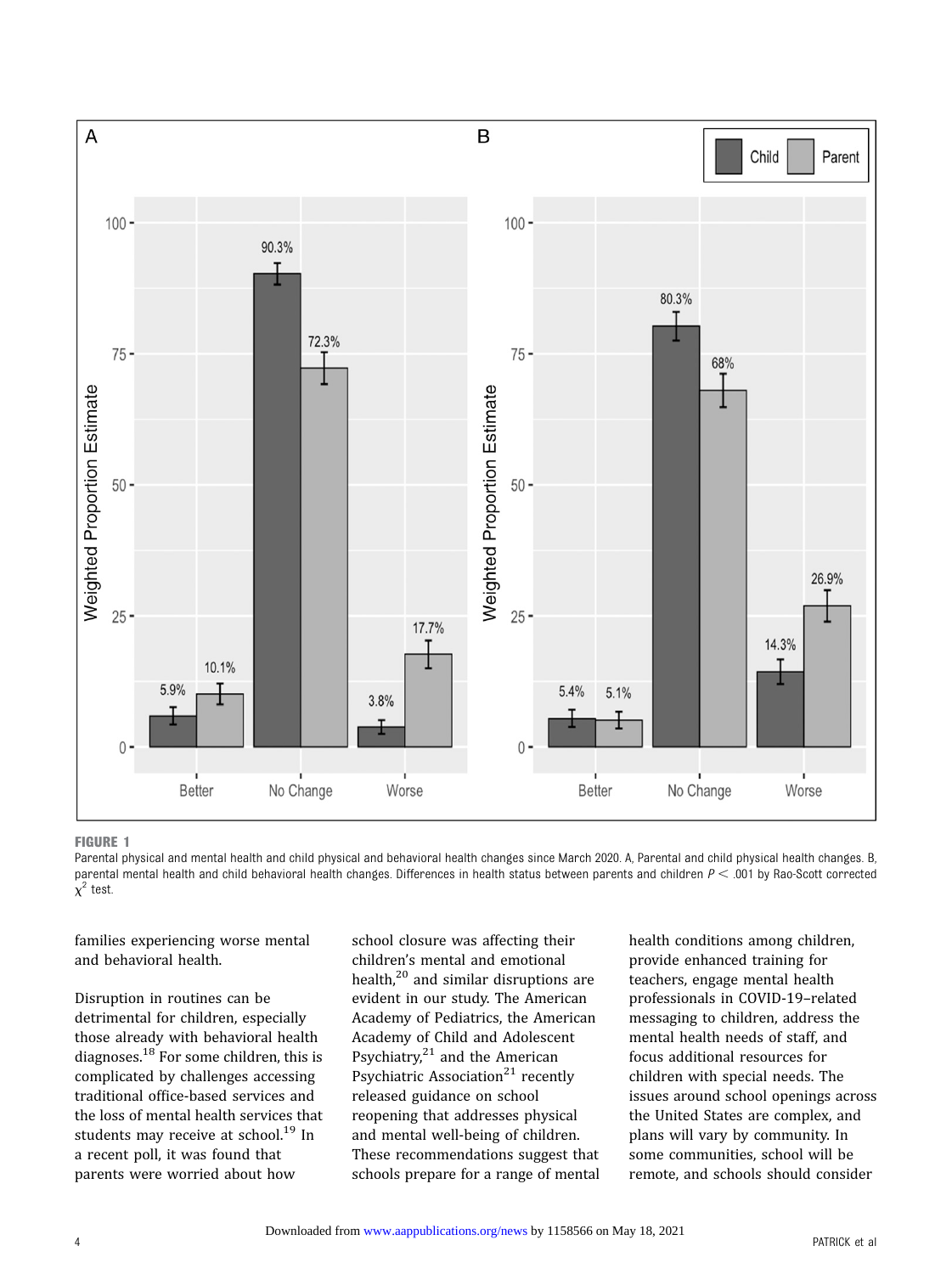<span id="page-3-0"></span>

#### FIGURE 1

Parental physical and mental health and child physical and behavioral health changes since March 2020. A, Parental and child physical health changes. B, parental mental health and child behavioral health changes. Differences in health status between parents and children  $P < .001$  by Rao-Scott corrected  $\chi^2$  test.

families experiencing worse mental and behavioral health.

Disruption in routines can be detrimental for children, especially those already with behavioral health diagnoses[.18](#page-7-0) For some children, this is complicated by challenges accessing traditional office-based services and the loss of mental health services that students may receive at school.<sup>[19](#page-7-0)</sup> In a recent poll, it was found that parents were worried about how

school closure was affecting their children's mental and emotional health, $20$  and similar disruptions are evident in our study. The American Academy of Pediatrics, the American Academy of Child and Adolescent Psychiatry, $21$  and the American Psychiatric Association<sup>[21](#page-7-0)</sup> recently released guidance on school reopening that addresses physical and mental well-being of children. These recommendations suggest that schools prepare for a range of mental health conditions among children, provide enhanced training for teachers, engage mental health professionals in COVID-19–related messaging to children, address the mental health needs of staff, and focus additional resources for children with special needs. The issues around school openings across the United States are complex, and plans will vary by community. In some communities, school will be remote, and schools should consider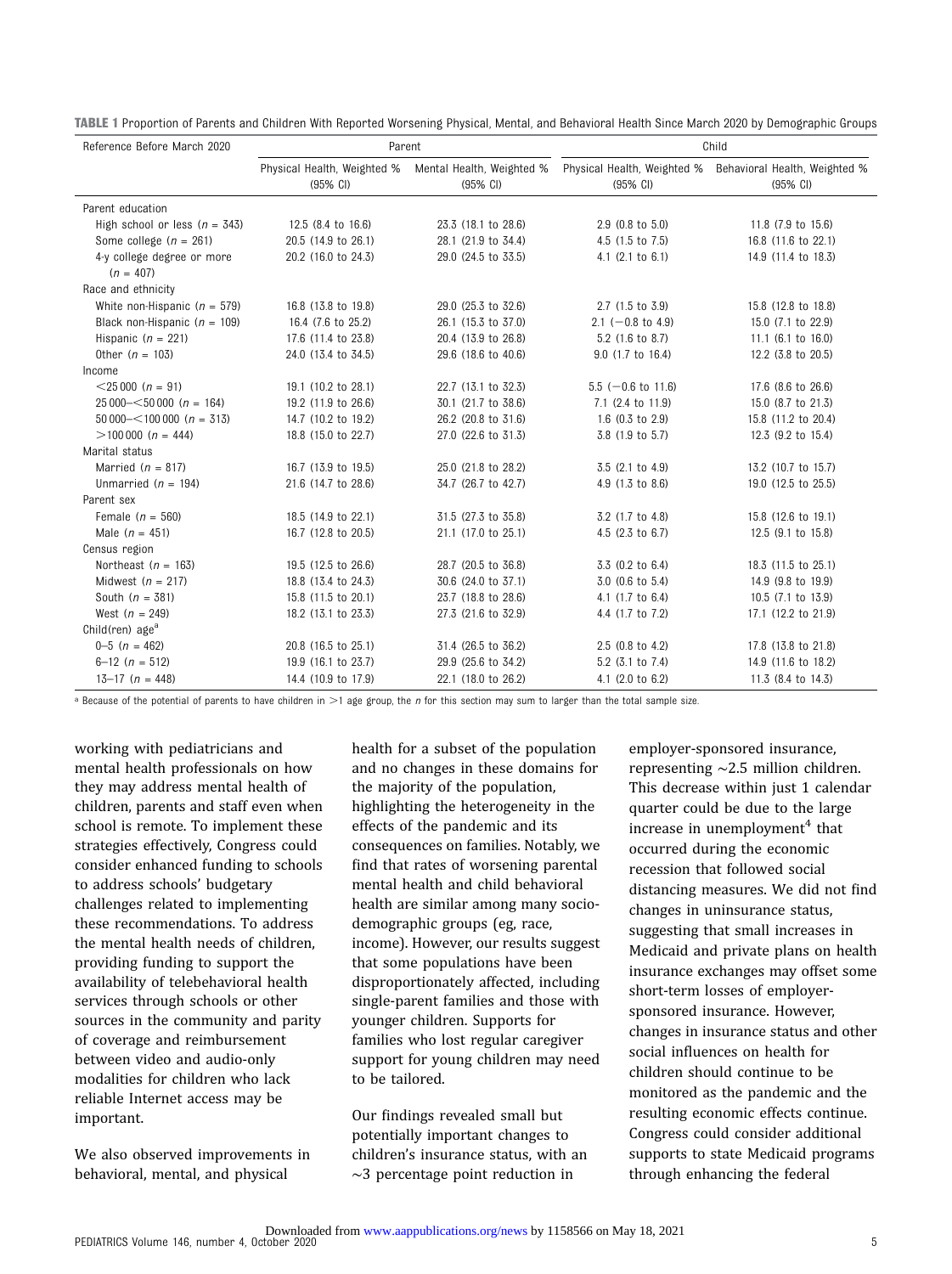| Reference Before March 2020               | Parent                                                                      |                     | Child                       |                                                                       |  |
|-------------------------------------------|-----------------------------------------------------------------------------|---------------------|-----------------------------|-----------------------------------------------------------------------|--|
|                                           | Physical Health, Weighted % Mental Health, Weighted %<br>$(95% \text{ Cl})$ | $(95% \text{ Cl})$  | (95% CI)                    | Physical Health, Weighted % Behavioral Health, Weighted %<br>(95% CI) |  |
| Parent education                          |                                                                             |                     |                             |                                                                       |  |
| High school or less $(n = 343)$           | 12.5 (8.4 to 16.6)                                                          | 23.3 (18.1 to 28.6) | $2.9$ (0.8 to 5.0)          | 11.8 (7.9 to 15.6)                                                    |  |
| Some college $(n = 261)$                  | 20.5 (14.9 to 26.1)                                                         | 28.1 (21.9 to 34.4) | 4.5 (1.5 to 7.5)            | 16.8 (11.6 to 22.1)                                                   |  |
| 4-y college degree or more<br>$(n = 407)$ | 20.2 (16.0 to 24.3)                                                         | 29.0 (24.5 to 33.5) | $4.1$ (2.1 to 6.1)          | 14.9 (11.4 to 18.3)                                                   |  |
| Race and ethnicity                        |                                                                             |                     |                             |                                                                       |  |
| White non-Hispanic ( $n = 579$ )          | 16.8 (13.8 to 19.8)                                                         | 29.0 (25.3 to 32.6) | $2.7$ (1.5 to 3.9)          | 15.8 (12.8 to 18.8)                                                   |  |
| Black non-Hispanic ( $n = 109$ )          | 16.4 (7.6 to 25.2)                                                          | 26.1 (15.3 to 37.0) | $2.1$ (-0.8 to 4.9)         | 15.0 (7.1 to 22.9)                                                    |  |
| Hispanic ( $n = 221$ )                    | 17.6 (11.4 to 23.8)                                                         | 20.4 (13.9 to 26.8) | 5.2 (1.6 to 8.7)            | 11.1 (6.1 to 16.0)                                                    |  |
| Other $(n = 103)$                         | 24.0 (13.4 to 34.5)                                                         | 29.6 (18.6 to 40.6) | 9.0 (1.7 to 16.4)           | 12.2 (3.8 to 20.5)                                                    |  |
| Income                                    |                                                                             |                     |                             |                                                                       |  |
| $<$ 25 000 (n = 91)                       | 19.1 (10.2 to 28.1)                                                         | 22.7 (13.1 to 32.3) | $5.5$ (-0.6 to 11.6)        | 17.6 (8.6 to 26.6)                                                    |  |
| $25\,000 - 50\,000$ (n = 164)             | 19.2 (11.9 to 26.6)                                                         | 30.1 (21.7 to 38.6) | 7.1 (2.4 to 11.9)           | 15.0 (8.7 to 21.3)                                                    |  |
| $50000 - 100000(n = 313)$                 | 14.7 (10.2 to 19.2)                                                         | 26.2 (20.8 to 31.6) | $1.6$ (0.3 to 2.9)          | 15.8 (11.2 to 20.4)                                                   |  |
| $>100000(n = 444)$                        | 18.8 (15.0 to 22.7)                                                         | 27.0 (22.6 to 31.3) | 3.8 (1.9 to 5.7)            | 12.3 (9.2 to 15.4)                                                    |  |
| Marital status                            |                                                                             |                     |                             |                                                                       |  |
| Married ( $n = 817$ )                     | 16.7 (13.9 to 19.5)                                                         | 25.0 (21.8 to 28.2) | 3.5 (2.1 to 4.9)            | 13.2 (10.7 to 15.7)                                                   |  |
| Unmarried ( $n = 194$ )                   | 21.6 (14.7 to 28.6)                                                         | 34.7 (26.7 to 42.7) | 4.9 (1.3 to 8.6)            | 19.0 (12.5 to 25.5)                                                   |  |
| Parent sex                                |                                                                             |                     |                             |                                                                       |  |
| Female $(n = 560)$                        | 18.5 (14.9 to 22.1)                                                         | 31.5 (27.3 to 35.8) | 3.2 (1.7 to 4.8)            | 15.8 (12.6 to 19.1)                                                   |  |
| Male $(n = 451)$                          | 16.7 (12.8 to 20.5)                                                         | 21.1 (17.0 to 25.1) | 4.5 (2.3 to 6.7)            | 12.5 (9.1 to 15.8)                                                    |  |
| Census region                             |                                                                             |                     |                             |                                                                       |  |
| Northeast $(n = 163)$                     | 19.5 (12.5 to 26.6)                                                         | 28.7 (20.5 to 36.8) | 3.3 (0.2 to 6.4)            | 18.3 (11.5 to 25.1)                                                   |  |
| Midwest $(n = 217)$                       | 18.8 (13.4 to 24.3)                                                         | 30.6 (24.0 to 37.1) | 3.0 (0.6 to 5.4)            | 14.9 (9.8 to 19.9)                                                    |  |
| South $(n = 381)$                         | 15.8 (11.5 to 20.1)                                                         | 23.7 (18.8 to 28.6) | 4.1 $(1.7 \text{ to } 6.4)$ | 10.5 (7.1 to 13.9)                                                    |  |
| West $(n = 249)$                          | 18.2 (13.1 to 23.3)                                                         | 27.3 (21.6 to 32.9) | 4.4 (1.7 to 7.2)            | 17.1 (12.2 to 21.9)                                                   |  |
| Child(ren) $agea$                         |                                                                             |                     |                             |                                                                       |  |
| $0-5$ $(n = 462)$                         | 20.8 (16.5 to 25.1)                                                         | 31.4 (26.5 to 36.2) | 2.5 (0.8 to 4.2)            | 17.8 (13.8 to 21.8)                                                   |  |
| $6-12(n = 512)$                           | 19.9 (16.1 to 23.7)                                                         | 29.9 (25.6 to 34.2) | 5.2 (3.1 to 7.4)            | 14.9 (11.6 to 18.2)                                                   |  |
| $13-17$ $(n = 448)$                       | 14.4 (10.9 to 17.9)                                                         | 22.1 (18.0 to 26.2) | 4.1 (2.0 to 6.2)            | 11.3 (8.4 to 14.3)                                                    |  |

TABLE 1 Proportion of Parents and Children With Reported Worsening Physical, Mental, and Behavioral Health Since March 2020 by Demographic Groups

<sup>a</sup> Because of the potential of parents to have children in >1 age group, the n for this section may sum to larger than the total sample size.

working with pediatricians and mental health professionals on how they may address mental health of children, parents and staff even when school is remote. To implement these strategies effectively, Congress could consider enhanced funding to schools to address schools' budgetary challenges related to implementing these recommendations. To address the mental health needs of children, providing funding to support the availability of telebehavioral health services through schools or other sources in the community and parity of coverage and reimbursement between video and audio-only modalities for children who lack reliable Internet access may be important.

We also observed improvements in behavioral, mental, and physical

health for a subset of the population and no changes in these domains for the majority of the population, highlighting the heterogeneity in the effects of the pandemic and its consequences on families. Notably, we find that rates of worsening parental mental health and child behavioral health are similar among many sociodemographic groups (eg, race, income). However, our results suggest that some populations have been disproportionately affected, including single-parent families and those with younger children. Supports for families who lost regular caregiver support for young children may need to be tailored.

Our findings revealed small but potentially important changes to children's insurance status, with an ∼3 percentage point reduction in

employer-sponsored insurance, representing ∼2.5 million children. This decrease within just 1 calendar quarter could be due to the large increase in unemployment $<sup>4</sup>$  $<sup>4</sup>$  $<sup>4</sup>$  that</sup> occurred during the economic recession that followed social distancing measures. We did not find changes in uninsurance status, suggesting that small increases in Medicaid and private plans on health insurance exchanges may offset some short-term losses of employersponsored insurance. However, changes in insurance status and other social influences on health for children should continue to be monitored as the pandemic and the resulting economic effects continue. Congress could consider additional supports to state Medicaid programs through enhancing the federal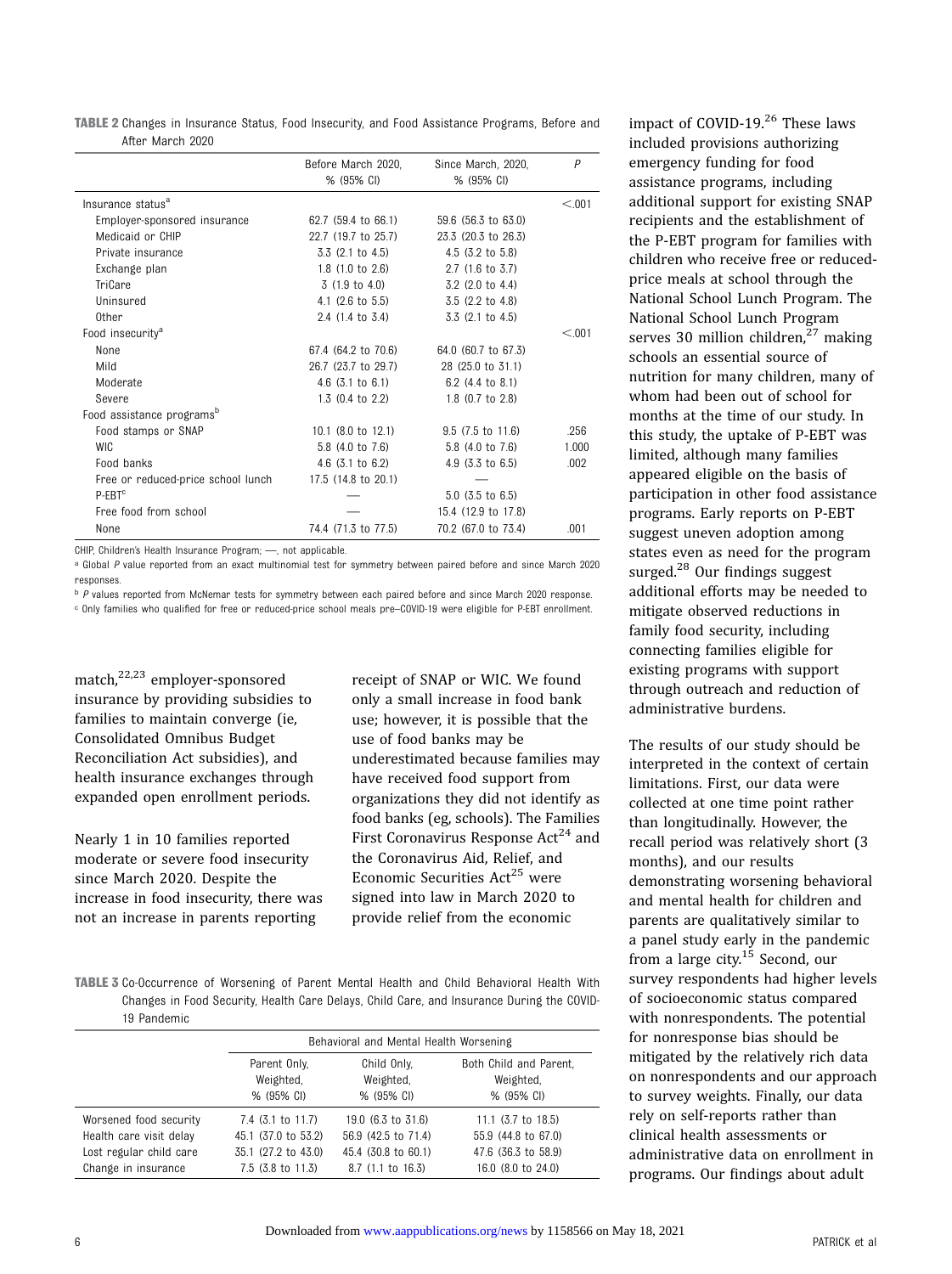| <b>TABLE 2</b> Changes in Insurance Status, Food Insecurity, and Food Assistance Programs, Before and |  |  |  |  |  |  |
|-------------------------------------------------------------------------------------------------------|--|--|--|--|--|--|
| After March 2020                                                                                      |  |  |  |  |  |  |

|                                       | Before March 2020,<br>% (95% CI) | Since March, 2020,<br>% (95% CI) | P      |
|---------------------------------------|----------------------------------|----------------------------------|--------|
| Insurance status <sup>a</sup>         |                                  |                                  | < 0.01 |
| Employer-sponsored insurance          | 62.7 (59.4 to 66.1)              | 59.6 (56.3 to 63.0)              |        |
| Medicaid or CHIP                      | 22.7 (19.7 to 25.7)              | 23.3 (20.3 to 26.3)              |        |
| Private insurance                     | $3.3$ (2.1 to 4.5)               | 4.5 $(3.2 \text{ to } 5.8)$      |        |
| Exchange plan                         | $1.8$ (1.0 to 2.6)               | $2.7$ (1.6 to 3.7)               |        |
| TriCare                               | $3(1.9 \text{ to } 4.0)$         | 3.2 (2.0 to 4.4)                 |        |
| Uninsured                             | 4.1 $(2.6 \text{ to } 5.5)$      | $3.5$ (2.2 to 4.8)               |        |
| Other                                 | 2.4 (1.4 to 3.4)                 | $3.3$ $(2.1 \text{ to } 4.5)$    |        |
| Food insecurity <sup>a</sup>          |                                  |                                  | < 0.01 |
| None                                  | 67.4 (64.2 to 70.6)              | 64.0 (60.7 to 67.3)              |        |
| Mild                                  | 26.7 (23.7 to 29.7)              | 28 (25.0 to 31.1)                |        |
| Moderate                              | $4.6$ (3.1 to 6.1)               | 6.2 (4.4 to 8.1)                 |        |
| Severe                                | $1.3$ (0.4 to 2.2)               | 1.8 $(0.7 \text{ to } 2.8)$      |        |
| Food assistance programs <sup>p</sup> |                                  |                                  |        |
| Food stamps or SNAP                   | 10.1 (8.0 to 12.1)               | $9.5$ (7.5 to 11.6)              | .256   |
| <b>WIC</b>                            | 5.8 (4.0 to 7.6)                 | 5.8 (4.0 to 7.6)                 | 1.000  |
| Food banks                            | $4.6$ (3.1 to 6.2)               | $4.9$ (3.3 to 6.5)               | .002   |
| Free or reduced-price school lunch    | 17.5 (14.8 to 20.1)              |                                  |        |
| P-EBT <sup>c</sup>                    |                                  | $5.0$ (3.5 to 6.5)               |        |
| Free food from school                 |                                  | 15.4 (12.9 to 17.8)              |        |
| None                                  | 74.4 (71.3 to 77.5)              | 70.2 (67.0 to 73.4)              | .001   |

CHIP, Children's Health Insurance Program; —, not applicable.

a Global P value reported from an exact multinomial test for symmetry between paired before and since March 2020 responses.

b P values reported from McNemar tests for symmetry between each paired before and since March 2020 response. <sup>c</sup> Only families who qualified for free or reduced-price school meals pre–COVID-19 were eligible for P-EBT enrollment.

match,[22](#page-7-0),[23](#page-7-0) employer-sponsored insurance by providing subsidies to families to maintain converge (ie, Consolidated Omnibus Budget Reconciliation Act subsidies), and health insurance exchanges through expanded open enrollment periods.

Nearly 1 in 10 families reported moderate or severe food insecurity since March 2020. Despite the increase in food insecurity, there was not an increase in parents reporting

receipt of SNAP or WIC. We found only a small increase in food bank use; however, it is possible that the use of food banks may be underestimated because families may have received food support from organizations they did not identify as food banks (eg, schools). The Families First Coronavirus Response  $Act<sup>24</sup>$  $Act<sup>24</sup>$  $Act<sup>24</sup>$  and the Coronavirus Aid, Relief, and Economic Securities Act<sup>25</sup> were signed into law in March 2020 to provide relief from the economic

TABLE 3 Co-Occurrence of Worsening of Parent Mental Health and Child Behavioral Health With Changes in Food Security, Health Care Delays, Child Care, and Insurance During the COVID-19 Pandemic

|                         | Behavioral and Mental Health Worsening  |                                        |                                                   |  |
|-------------------------|-----------------------------------------|----------------------------------------|---------------------------------------------------|--|
|                         | Parent Only,<br>Weighted,<br>% (95% CI) | Child Only.<br>Weighted,<br>% (95% CI) | Both Child and Parent.<br>Weighted,<br>% (95% CI) |  |
| Worsened food security  | $7.4$ (3.1 to 11.7)                     | 19.0 (6.3 to 31.6)                     | $11.1$ (3.7 to 18.5)                              |  |
| Health care visit delay | 45.1 (37.0 to 53.2)                     | 56.9 (42.5 to 71.4)                    | 55.9 (44.8 to 67.0)                               |  |
| Lost regular child care | 35.1 (27.2 to 43.0)                     | 45.4 (30.8 to 60.1)                    | 47.6 (36.3 to 58.9)                               |  |
| Change in insurance     | $7.5$ (3.8 to 11.3)                     | 8.7 (1.1 to 16.3)                      | 16.0 (8.0 to 24.0)                                |  |

impact of COVID-19.<sup>[26](#page-7-0)</sup> These laws included provisions authorizing emergency funding for food assistance programs, including additional support for existing SNAP recipients and the establishment of the P-EBT program for families with children who receive free or reducedprice meals at school through the National School Lunch Program. The National School Lunch Program serves 30 million children.<sup>[27](#page-7-0)</sup> making schools an essential source of nutrition for many children, many of whom had been out of school for months at the time of our study. In this study, the uptake of P-EBT was limited, although many families appeared eligible on the basis of participation in other food assistance programs. Early reports on P-EBT suggest uneven adoption among states even as need for the program surged. $^{28}$  $^{28}$  $^{28}$  Our findings suggest additional efforts may be needed to mitigate observed reductions in family food security, including connecting families eligible for existing programs with support through outreach and reduction of administrative burdens.

The results of our study should be interpreted in the context of certain limitations. First, our data were collected at one time point rather than longitudinally. However, the recall period was relatively short (3 months), and our results demonstrating worsening behavioral and mental health for children and parents are qualitatively similar to a panel study early in the pandemic from a large city.<sup>[15](#page-6-0)</sup> Second, our survey respondents had higher levels of socioeconomic status compared with nonrespondents. The potential for nonresponse bias should be mitigated by the relatively rich data on nonrespondents and our approach to survey weights. Finally, our data rely on self-reports rather than clinical health assessments or administrative data on enrollment in programs. Our findings about adult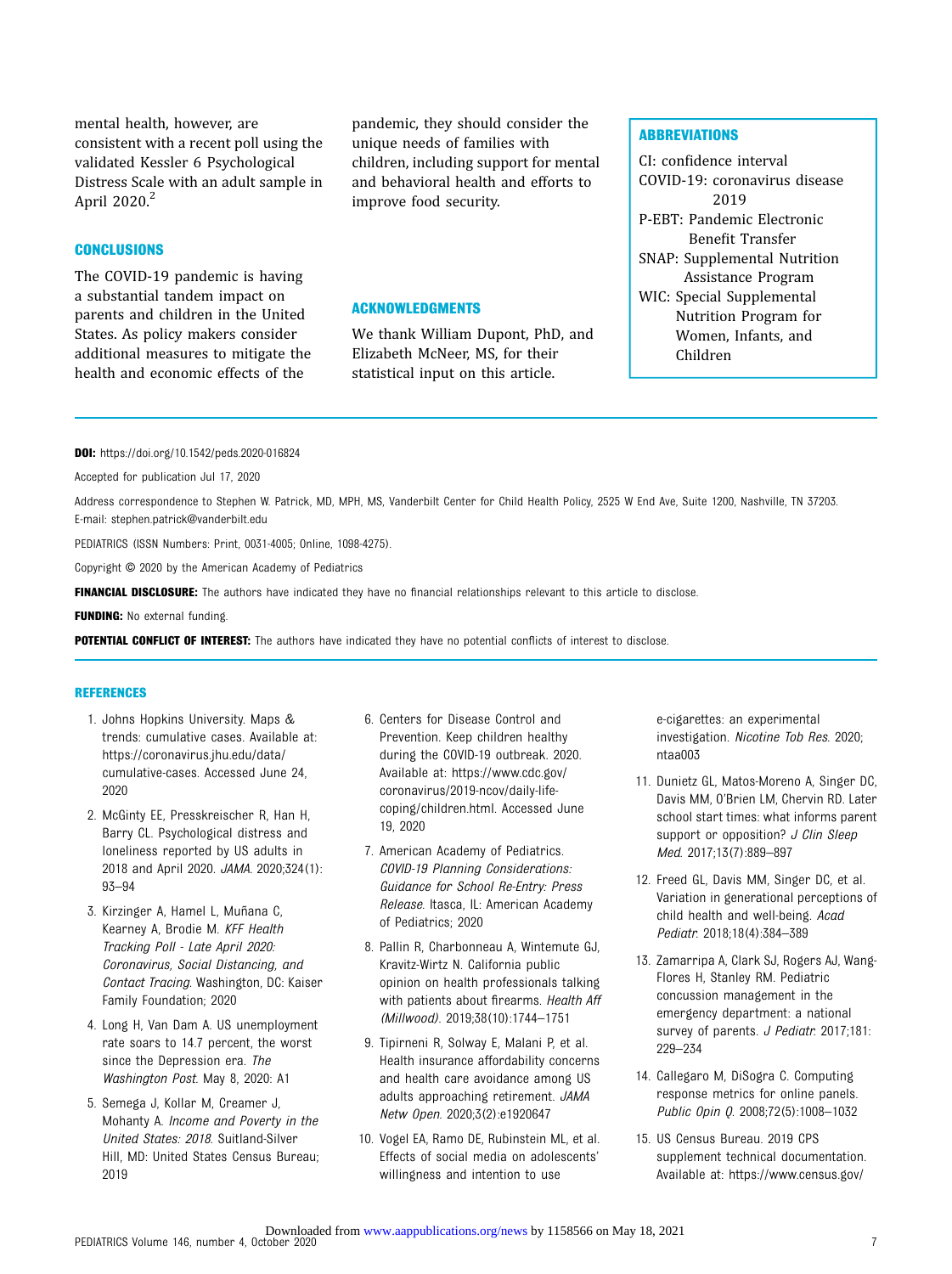<span id="page-6-0"></span>mental health, however, are consistent with a recent poll using the validated Kessler 6 Psychological Distress Scale with an adult sample in April 2020.<sup>2</sup>

## **CONCLUSIONS**

The COVID-19 pandemic is having a substantial tandem impact on parents and children in the United States. As policy makers consider additional measures to mitigate the health and economic effects of the

pandemic, they should consider the unique needs of families with children, including support for mental and behavioral health and efforts to improve food security.

#### ACKNOWLEDGMENTS

We thank William Dupont, PhD, and Elizabeth McNeer, MS, for their statistical input on this article.

### **ABBREVIATIONS**

CI: confidence interval COVID-19: coronavirus disease 2019 P-EBT: Pandemic Electronic Benefit Transfer SNAP: Supplemental Nutrition Assistance Program WIC: Special Supplemental Nutrition Program for Women, Infants, and Children

DOI: <https://doi.org/10.1542/peds.2020-016824>

Accepted for publication Jul 17, 2020

Address correspondence to Stephen W. Patrick, MD, MPH, MS, Vanderbilt Center for Child Health Policy, 2525 W End Ave, Suite 1200, Nashville, TN 37203. E-mail: [stephen.patrick@vanderbilt.edu](mailto:stephen.patrick@vanderbilt.edu)

PEDIATRICS (ISSN Numbers: Print, 0031-4005; Online, 1098-4275).

Copyright © 2020 by the American Academy of Pediatrics

FINANCIAL DISCLOSURE: The authors have indicated they have no financial relationships relevant to this article to disclose.

**FUNDING:** No external funding.

POTENTIAL CONFLICT OF INTEREST: The authors have indicated they have no potential conflicts of interest to disclose.

#### **REFERENCES**

- 1. Johns Hopkins University. Maps & trends: cumulative cases. Available at: [https://coronavirus.jhu.edu/data/](https://coronavirus.jhu.edu/data/cumulative-cases) [cumulative-cases](https://coronavirus.jhu.edu/data/cumulative-cases). Accessed June 24, 2020
- 2. McGinty EE, Presskreischer R, Han H, Barry CL. Psychological distress and loneliness reported by US adults in 2018 and April 2020. JAMA. 2020;324(1): 93–94
- 3. Kirzinger A, Hamel L, Muñana C, Kearney A, Brodie M. KFF Health Tracking Poll - Late April 2020: Coronavirus, Social Distancing, and Contact Tracing. Washington, DC: Kaiser Family Foundation; 2020
- 4. Long H, Van Dam A. US unemployment rate soars to 14.7 percent, the worst since the Depression era. The Washington Post. May 8, 2020: A1
- 5. Semega J, Kollar M, Creamer J, Mohanty A. Income and Poverty in the United States: 2018. Suitland-Silver Hill, MD: United States Census Bureau; 2019
- 6. Centers for Disease Control and Prevention. Keep children healthy during the COVID-19 outbreak. 2020. Available at: [https://www.cdc.gov/](https://www.cdc.gov/coronavirus/2019-ncov/daily-life-coping/children.html) [coronavirus/2019-ncov/daily-life](https://www.cdc.gov/coronavirus/2019-ncov/daily-life-coping/children.html)[coping/children.html.](https://www.cdc.gov/coronavirus/2019-ncov/daily-life-coping/children.html) Accessed June 19, 2020
- 7. American Academy of Pediatrics. COVID-19 Planning Considerations: Guidance for School Re-Entry: Press Release. Itasca, IL: American Academy of Pediatrics; 2020
- 8. Pallin R, Charbonneau A, Wintemute GJ, Kravitz-Wirtz N. California public opinion on health professionals talking with patients about firearms. Health Aff (Millwood). 2019;38(10):1744–1751
- 9. Tipirneni R, Solway E, Malani P, et al. Health insurance affordability concerns and health care avoidance among US adults approaching retirement. JAMA Netw Open. 2020;3(2):e1920647
- 10. Vogel EA, Ramo DE, Rubinstein ML, et al. Effects of social media on adolescents' willingness and intention to use

e-cigarettes: an experimental investigation. Nicotine Tob Res. 2020; ntaa003

- 11. Dunietz GL, Matos-Moreno A, Singer DC, Davis MM, O'Brien LM, Chervin RD. Later school start times: what informs parent support or opposition? J Clin Sleep Med. 2017;13(7):889–897
- 12. Freed GL, Davis MM, Singer DC, et al. Variation in generational perceptions of child health and well-being. Acad Pediatr. 2018;18(4):384–389
- 13. Zamarripa A, Clark SJ, Rogers AJ, Wang-Flores H, Stanley RM. Pediatric concussion management in the emergency department: a national survey of parents. J Pediatr. 2017;181: 229–234
- 14. Callegaro M, DiSogra C. Computing response metrics for online panels. Public Opin Q. 2008;72(5):1008-1032
- 15. US Census Bureau. 2019 CPS supplement technical documentation. Available at: [https://www.census.gov/](https://www.census.gov/programs-surveys/cps/technical-documentation/complete/2019.html)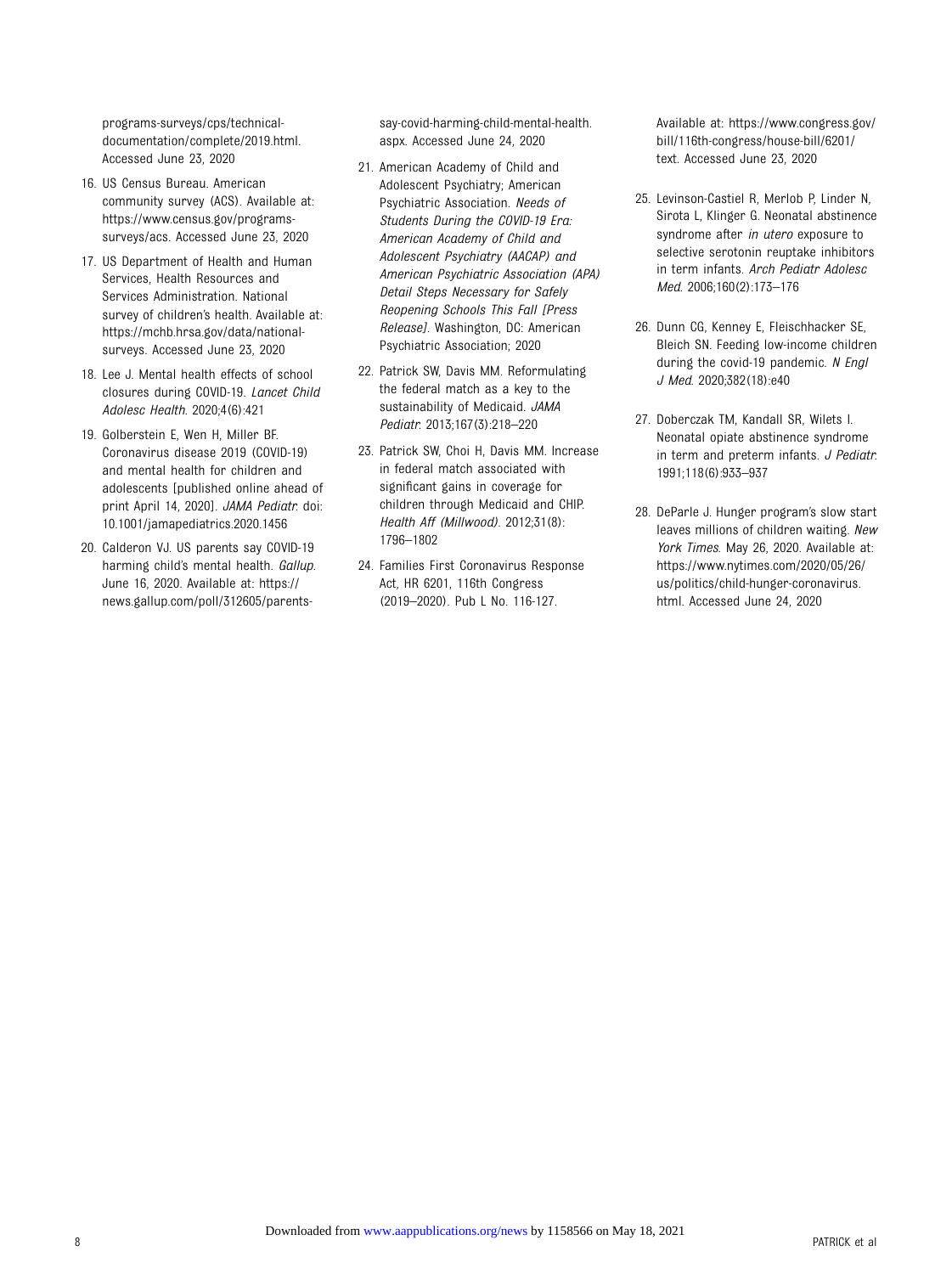<span id="page-7-0"></span>[programs-surveys/cps/technical](https://www.census.gov/programs-surveys/cps/technical-documentation/complete/2019.html)[documentation/complete/2019.html](https://www.census.gov/programs-surveys/cps/technical-documentation/complete/2019.html). Accessed June 23, 2020

- 16. US Census Bureau. American community survey (ACS). Available at: [https://www.census.gov/programs](https://www.census.gov/programs-surveys/acs)[surveys/acs](https://www.census.gov/programs-surveys/acs). Accessed June 23, 2020
- 17. US Department of Health and Human Services, Health Resources and Services Administration. National survey of children's health. Available at: [https://mchb.hrsa.gov/data/national](https://mchb.hrsa.gov/data/national-surveys)[surveys.](https://mchb.hrsa.gov/data/national-surveys) Accessed June 23, 2020
- 18. Lee J. Mental health effects of school closures during COVID-19. Lancet Child Adolesc Health. 2020;4(6):421
- 19. Golberstein E, Wen H, Miller BF. Coronavirus disease 2019 (COVID-19) and mental health for children and adolescents [published online ahead of print April 14, 2020]. JAMA Pediatr. doi: 10.1001/jamapediatrics.2020.1456
- 20. Calderon VJ. US parents say COVID-19 harming child's mental health. Gallup. June 16, 2020. Available at: [https://](https://news.gallup.com/poll/312605/parents-say-covid-harming-child-mental-health.aspx) [news.gallup.com/poll/312605/parents-](https://news.gallup.com/poll/312605/parents-say-covid-harming-child-mental-health.aspx)

[say-covid-harming-child-mental-health.](https://news.gallup.com/poll/312605/parents-say-covid-harming-child-mental-health.aspx) [aspx.](https://news.gallup.com/poll/312605/parents-say-covid-harming-child-mental-health.aspx) Accessed June 24, 2020

- 21. American Academy of Child and Adolescent Psychiatry; American Psychiatric Association. Needs of Students During the COVID-19 Era: American Academy of Child and Adolescent Psychiatry (AACAP) and American Psychiatric Association (APA) Detail Steps Necessary for Safely Reopening Schools This Fall [Press Release]. Washington, DC: American Psychiatric Association; 2020
- 22. Patrick SW, Davis MM. Reformulating the federal match as a key to the sustainability of Medicaid. JAMA Pediatr. 2013;167(3):218–220
- 23. Patrick SW, Choi H, Davis MM. Increase in federal match associated with significant gains in coverage for children through Medicaid and CHIP. Health Aff (Millwood). 2012;31(8): 1796–1802
- 24. Families First Coronavirus Response Act, HR 6201, 116th Congress (2019–2020). Pub L No. 116-127.

Available at: [https://www.congress.gov/](https://www.congress.gov/bill/116th-congress/house-bill/6201/text) [bill/116th-congress/house-bill/6201/](https://www.congress.gov/bill/116th-congress/house-bill/6201/text) [text](https://www.congress.gov/bill/116th-congress/house-bill/6201/text). Accessed June 23, 2020

- 25. Levinson-Castiel R, Merlob P, Linder N, Sirota L, Klinger G. Neonatal abstinence syndrome after in utero exposure to selective serotonin reuptake inhibitors in term infants. Arch Pediatr Adolesc Med. 2006;160(2):173–176
- 26. Dunn CG, Kenney E, Fleischhacker SE, Bleich SN. Feeding low-income children during the covid-19 pandemic. N Engl J Med. 2020;382(18):e40
- 27. Doberczak TM, Kandall SR, Wilets I. Neonatal opiate abstinence syndrome in term and preterm infants. J Pediatr. 1991;118(6):933–937
- 28. DeParle J. Hunger program's slow start leaves millions of children waiting. New York Times. May 26, 2020. Available at: [https://www.nytimes.com/2020/05/26/](https://www.nytimes.com/2020/05/26/us/politics/child-hunger-coronavirus.html) [us/politics/child-hunger-coronavirus.](https://www.nytimes.com/2020/05/26/us/politics/child-hunger-coronavirus.html) [html](https://www.nytimes.com/2020/05/26/us/politics/child-hunger-coronavirus.html). Accessed June 24, 2020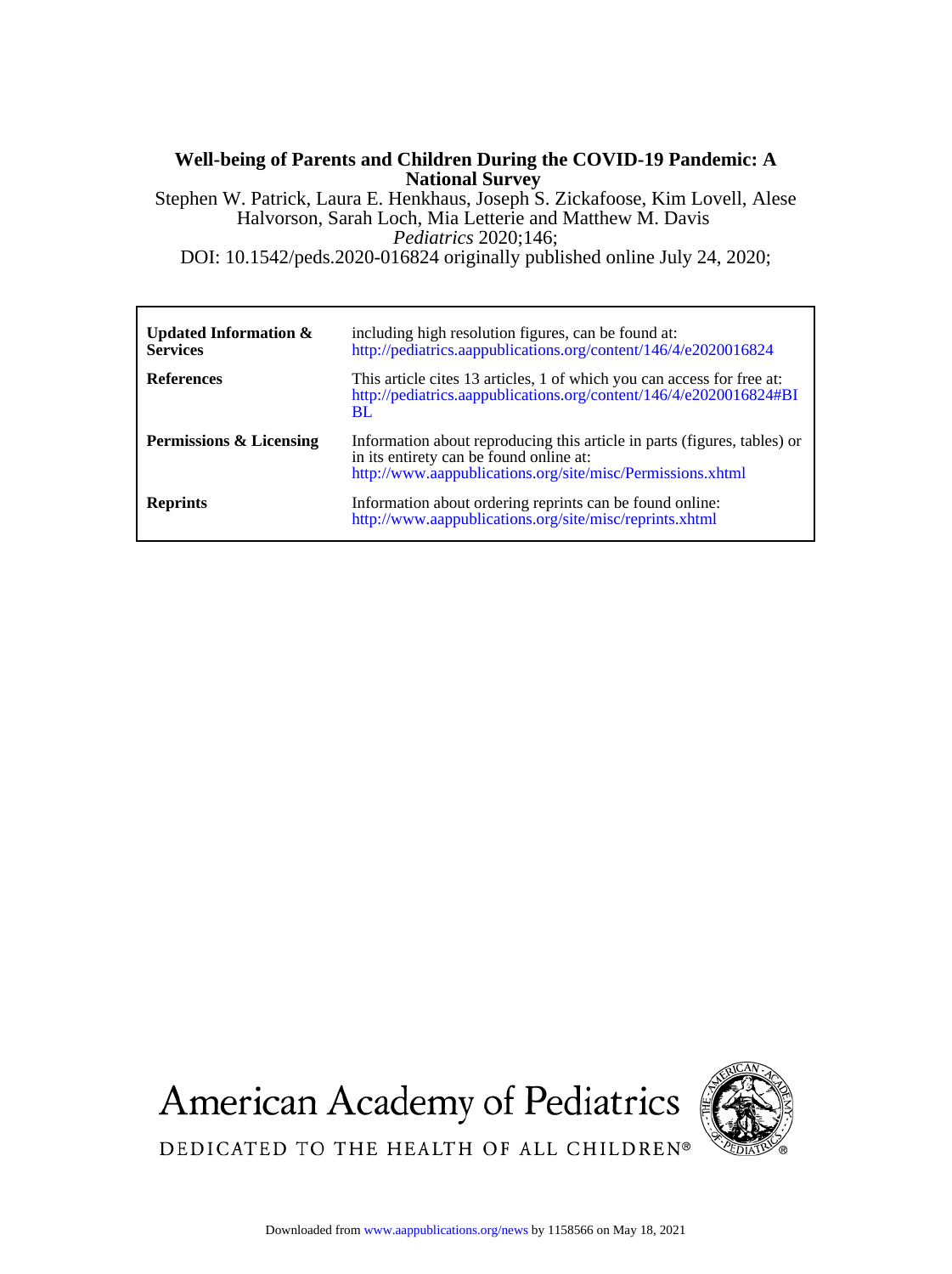# **National Survey Well-being of Parents and Children During the COVID-19 Pandemic: A**

DOI: 10.1542/peds.2020-016824 originally published online July 24, 2020; *Pediatrics* 2020;146; Halvorson, Sarah Loch, Mia Letterie and Matthew M. Davis Stephen W. Patrick, Laura E. Henkhaus, Joseph S. Zickafoose, Kim Lovell, Alese

| Updated Information $\&$<br><b>Services</b> | including high resolution figures, can be found at:<br>http://pediatrics.aappublications.org/content/146/4/e2020016824                                                            |
|---------------------------------------------|-----------------------------------------------------------------------------------------------------------------------------------------------------------------------------------|
| <b>References</b>                           | This article cites 13 articles, 1 of which you can access for free at:<br>http://pediatrics.aappublications.org/content/146/4/e2020016824#BI<br>BL                                |
| Permissions & Licensing                     | Information about reproducing this article in parts (figures, tables) or<br>in its entirety can be found online at:<br>http://www.aappublications.org/site/misc/Permissions.xhtml |
| <b>Reprints</b>                             | Information about ordering reprints can be found online:<br>http://www.aappublications.org/site/misc/reprints.xhtml                                                               |





DEDICATED TO THE HEALTH OF ALL CHILDREN®